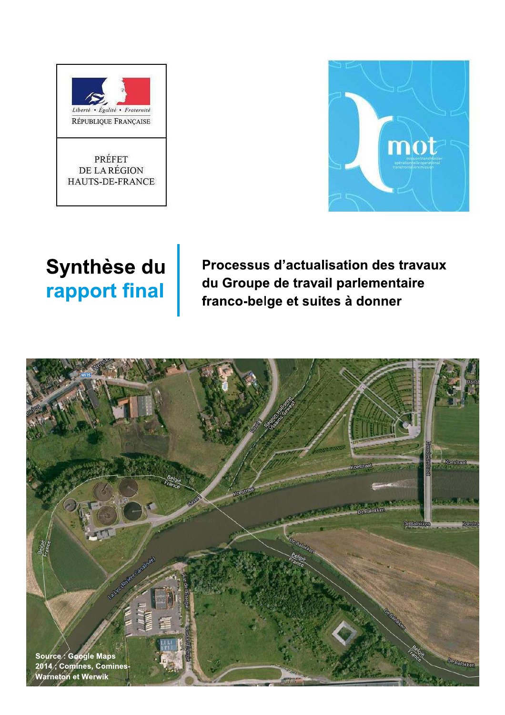



# Synthèse du rapport final

Processus d'actualisation des travaux du Groupe de travail parlementaire franco-belge et suites à donner

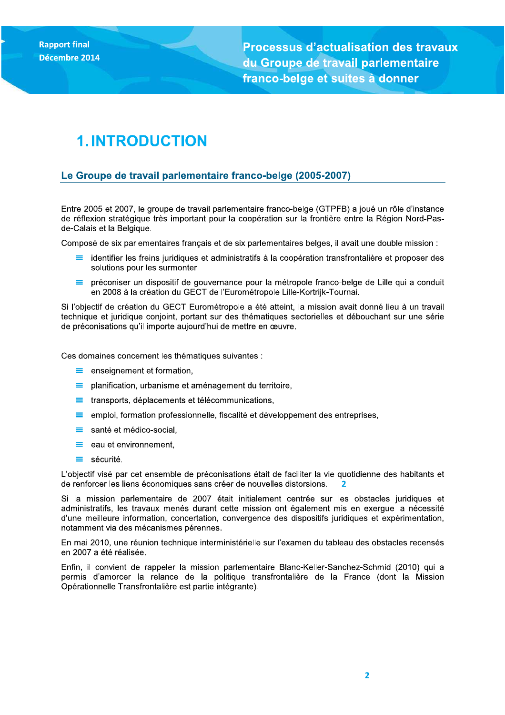**Rapport final** Décembre 2014

**Processus d'actualisation des travaux** du Groupe de travail parlementaire franco-belge et suites à donner

# **1. INTRODUCTION**

### Le Groupe de travail parlementaire franco-belge (2005-2007)

Entre 2005 et 2007, le groupe de travail parlementaire franco-belge (GTPFB) a joué un rôle d'instance de réflexion stratégique très important pour la coopération sur la frontière entre la Région Nord-Pasde-Calais et la Belgique.

Composé de six parlementaires français et de six parlementaires belges, il avait une double mission :

- identifier les freins juridiques et administratifs à la coopération transfrontalière et proposer des solutions pour les surmonter
- $=$ préconiser un dispositif de gouvernance pour la métropole franco-belge de Lille qui a conduit en 2008 à la création du GECT de l'Eurométropole Lille-Kortrijk-Tournai.

Si l'objectif de création du GECT Eurométropole a été atteint, la mission avait donné lieu à un travail technique et juridique conjoint, portant sur des thématiques sectorielles et débouchant sur une série de préconisations qu'il importe aujourd'hui de mettre en œuvre.

Ces domaines concernent les thématiques suivantes :

- $\equiv$  enseignement et formation,
- $\equiv$  planification, urbanisme et aménagement du territoire,
- $\equiv$  transports, déplacements et télécommunications,
- emploi, formation professionnelle, fiscalité et développement des entreprises.  $\equiv$
- santé et médico-social,  $\equiv$
- $\equiv$  eau et environnement,
- $\equiv$  sécurité.

L'objectif visé par cet ensemble de préconisations était de faciliter la vie quotidienne des habitants et de renforcer les liens économiques sans créer de nouvelles distorsions.

Si la mission parlementaire de 2007 était initialement centrée sur les obstacles juridiques et administratifs. les travaux menés durant cette mission ont également mis en exergue la nécessité d'une meilleure information, concertation, convergence des dispositifs juridiques et expérimentation, notamment via des mécanismes pérennes.

En mai 2010, une réunion technique interministérielle sur l'examen du tableau des obstacles recensés en 2007 a été réalisée.

Enfin, il convient de rappeler la mission parlementaire Blanc-Keller-Sanchez-Schmid (2010) qui a permis d'amorcer la relance de la politique transfrontalière de la France (dont la Mission Opérationnelle Transfrontalière est partie intégrante).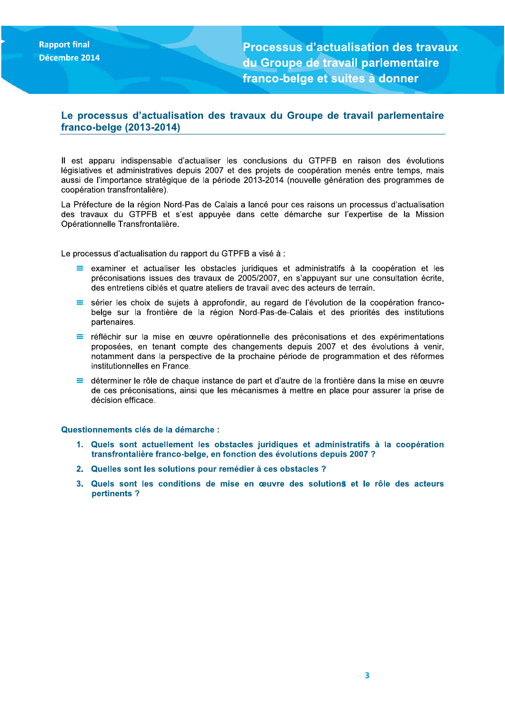**Rapport final** Décembre 2014

**Processus d'actualisation des travaux** du Groupe de travail parlementaire franco-belge et suites à donner

## Le processus d'actualisation des travaux du Groupe de travail parlementaire franco-belge (2013-2014)

Il est apparu indispensable d'actualiser les conclusions du GTPFB en raison des évolutions législatives et administratives depuis 2007 et des projets de coopération menés entre temps, mais aussi de l'importance stratégique de la période 2013-2014 (nouvelle génération des programmes de coopération transfrontalière).

La Préfecture de la région Nord-Pas de Calais a lancé pour ces raisons un processus d'actualisation des travaux du GTPFB et s'est appuyée dans cette démarche sur l'expertise de la Mission Opérationnelle Transfrontalière.

Le processus d'actualisation du rapport du GTPFB a visé à :

- $\equiv$  examiner et actualiser les obstacles juridiques et administratifs à la coopération et les préconisations issues des travaux de 2005/2007, en s'appuyant sur une consultation écrite, des entretiens ciblés et quatre ateliers de travail avec des acteurs de terrain.
- $=$ sérier les choix de sujets à approfondir, au regard de l'évolution de la coopération francobelge sur la frontière de la région Nord-Pas-de-Calais et des priorités des institutions partenaires.
- réfléchir sur la mise en œuvre opérationnelle des préconisations et des expérimentations proposées, en tenant compte des changements depuis 2007 et des évolutions à venir, notamment dans la perspective de la prochaine période de programmation et des réformes institutionnelles en France.
- déterminer le rôle de chaque instance de part et d'autre de la frontière dans la mise en œuvre ≡ de ces préconisations, ainsi que les mécanismes à mettre en place pour assurer la prise de décision efficace.

Questionnements clés de la démarche :

- 1. Quels sont actuellement les obstacles juridiques et administratifs à la coopération transfrontalière franco-belge, en fonction des évolutions depuis 2007 ?
- 2. Quelles sont les solutions pour remédier à ces obstacles ?
- 3. Quels sont les conditions de mise en œuvre des solutions et le rôle des acteurs pertinents?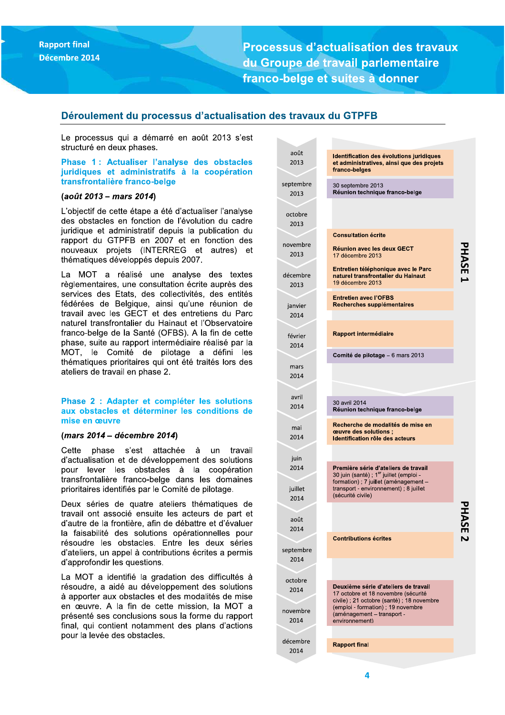**Processus d'actualisation des travaux** du Groupe de travail parlementaire franco-belge et suites à donner

### Déroulement du processus d'actualisation des travaux du GTPFB

 $\epsilon$ 

 $\mathbf{d}$ 

 $\overline{S}$ 

 $n$ 

 $\mathsf{d}$ 

Le processus qui a démarré en août 2013 s'est structuré en deux phases.

Phase 1: Actualiser l'analyse des obstacles juridiques et administratifs à la coopération transfrontalière franco-belge

#### (août 2013 - mars 2014)

L'objectif de cette étape a été d'actualiser l'analyse des obstacles en fonction de l'évolution du cadre juridique et administratif depuis la publication du rapport du GTPFB en 2007 et en fonction des nouveaux projets (INTERREG et autres) et thématiques développés depuis 2007.

La MOT a réalisé une analyse des textes règlementaires, une consultation écrite auprès des services des Etats, des collectivités, des entités fédérées de Belgique, ainsi qu'une réunion de travail avec les GECT et des entretiens du Parc naturel transfrontalier du Hainaut et l'Observatoire franco-belge de la Santé (OFBS). A la fin de cette phase, suite au rapport intermédiaire réalisé par la MOT, le Comité de pilotage a défini les thématiques prioritaires qui ont été traités lors des ateliers de travail en phase 2.

#### Phase 2 : Adapter et compléter les solutions aux obstacles et déterminer les conditions de mise en œuvre

#### (mars 2014 – décembre 2014)

Cette phase s'est attachée à un travail d'actualisation et de développement des solutions pour lever les obstacles à la coopération transfrontalière franco-belge dans les domaines prioritaires identifiés par le Comité de pilotage.

Deux séries de quatre ateliers thématiques de travail ont associé ensuite les acteurs de part et d'autre de la frontière, afin de débattre et d'évaluer la faisabilité des solutions opérationnelles pour résoudre les obstacles. Entre les deux séries d'ateliers, un appel à contributions écrites a permis d'approfondir les questions.

La MOT a identifié la gradation des difficultés à résoudre, a aidé au développement des solutions à apporter aux obstacles et des modalités de mise en œuvre. A la fin de cette mission, la MOT a présenté ses conclusions sous la forme du rapport final, qui contient notamment des plans d'actions pour la levée des obstacles.

| août<br>2013     | Identification des évolutions juridiques<br>et administratives, ainsi que des projets<br>franco-belges                           |      |
|------------------|----------------------------------------------------------------------------------------------------------------------------------|------|
| ptembre:<br>2013 | 30 septembre 2013<br>Réunion technique franco-belge                                                                              |      |
| octobre<br>2013  |                                                                                                                                  |      |
|                  | <b>Consultation écrite</b>                                                                                                       |      |
| ovembre<br>2013  | <b>Réunion avec les deux GECT</b><br>17 décembre 2013                                                                            | HASE |
| écembre<br>2013  | Entretien téléphonique avec le Parc<br>naturel transfrontalier du Hainaut<br>19 décembre 2013                                    |      |
| janvier<br>2014  | <b>Entretien avec l'OFBS</b><br>Recherches supplémentaires                                                                       |      |
|                  |                                                                                                                                  |      |
| février<br>2014  | <b>Rapport intermédiaire</b>                                                                                                     |      |
|                  | Comité de pilotage - 6 mars 2013                                                                                                 |      |
| mars<br>2014     |                                                                                                                                  |      |
| avril            |                                                                                                                                  |      |
| 2014             | 30 avril 2014<br>Réunion technique franco-belge                                                                                  |      |
| mai<br>2014      | Recherche de modalités de mise en<br>ceuvre des solutions ;<br>Identification rôle des acteurs                                   |      |
|                  |                                                                                                                                  |      |
| juin<br>2014     | Première série d'ateliers de travail<br>30 juin (santé) ; 1 <sup>er</sup> juillet (emploi -                                      |      |
| juillet<br>2014  | formation) ; 7 juillet (aménagement -<br>transport - environnement); 8 juillet<br>(sécurité civile)                              |      |
| août             |                                                                                                                                  | ⋗    |
| 2014             | <b>Contributions écrites</b>                                                                                                     | N    |
| ptembre<br>2014  |                                                                                                                                  |      |
|                  |                                                                                                                                  |      |
| octobre<br>2014  | Deuxième série d'ateliers de travail<br>17 octobre et 18 novembre (sécurité                                                      |      |
| ovembre<br>2014  | civile) ; 21 octobre (santé) ; 18 novembre<br>(emploi - formation) ; 19 novembre<br>(aménagement - transport -<br>environnement) |      |
|                  |                                                                                                                                  |      |
| écembre<br>2014  | <b>Rapport final</b>                                                                                                             |      |
|                  |                                                                                                                                  |      |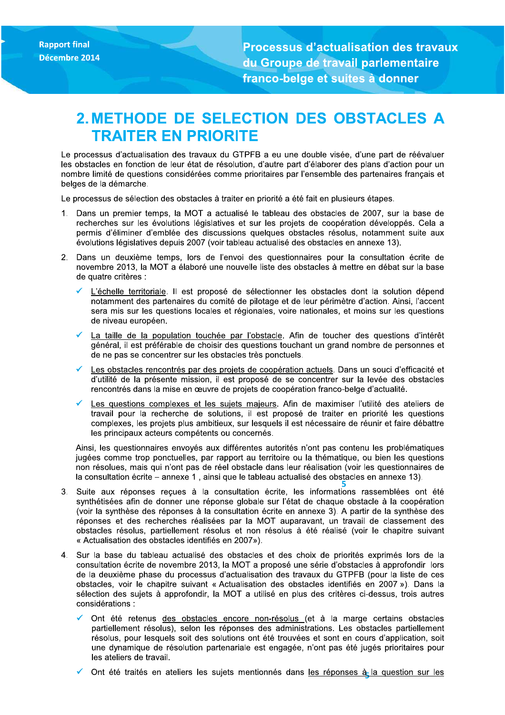**Processus d'actualisation des travaux** du Groupe de travail parlementaire franco-belge et suites à donner

# 2. METHODE DE SELECTION DES OBSTACLES A **TRAITER EN PRIORITE**

Le processus d'actualisation des travaux du GTPFB a eu une double visée, d'une part de réévaluer les obstacles en fonction de leur état de résolution, d'autre part d'élaborer des plans d'action pour un nombre limité de questions considérées comme prioritaires par l'ensemble des partenaires français et belges de la démarche.

Le processus de sélection des obstacles à traiter en priorité a été fait en plusieurs étapes.

- 1. Dans un premier temps, la MOT a actualisé le tableau des obstacles de 2007, sur la base de recherches sur les évolutions législatives et sur les projets de coopération développés. Cela a permis d'éliminer d'emblée des discussions quelques obstacles résolus, notamment suite aux évolutions législatives depuis 2007 (voir tableau actualisé des obstacles en annexe 13).
- 2. Dans un deuxième temps, lors de l'envoi des questionnaires pour la consultation écrite de novembre 2013, la MOT a élaboré une nouvelle liste des obstacles à mettre en débat sur la base de quatre critères :
	- L'échelle territoriale. Il est proposé de sélectionner les obstacles dont la solution dépend notamment des partenaires du comité de pilotage et de leur périmètre d'action. Ainsi, l'accent sera mis sur les questions locales et régionales, voire nationales, et moins sur les questions de niveau européen.
	- La taille de la population touchée par l'obstacle. Afin de toucher des questions d'intérêt général, il est préférable de choisir des questions touchant un grand nombre de personnes et de ne pas se concentrer sur les obstacles très ponctuels.
	- Les obstacles rencontrés par des projets de coopération actuels. Dans un souci d'efficacité et d'utilité de la présente mission, il est proposé de se concentrer sur la levée des obstacles rencontrés dans la mise en œuvre de projets de coopération franco-belge d'actualité.
	- Les questions complexes et les sujets majeurs. Afin de maximiser l'utilité des ateliers de travail pour la recherche de solutions, il est proposé de traiter en priorité les questions complexes, les projets plus ambitieux, sur lesquels il est nécessaire de réunir et faire débattre les principaux acteurs compétents ou concernés.

Ainsi, les questionnaires envoyés aux différentes autorités n'ont pas contenu les problématiques jugées comme trop ponctuelles, par rapport au territoire ou la thématique, ou bien les questions non résolues, mais qui n'ont pas de réel obstacle dans leur réalisation (voir les questionnaires de la consultation écrite – annexe 1, ainsi que le tableau actualisé des obstacles en annexe 13).

- 3. Suite aux réponses recues à la consultation écrite, les informations rassemblées ont été synthétisées afin de donner une réponse globale sur l'état de chaque obstacle à la coopération (voir la synthèse des réponses à la consultation écrite en annexe 3). A partir de la synthèse des réponses et des recherches réalisées par la MOT auparavant, un travail de classement des obstacles résolus, partiellement résolus et non résolus à été réalisé (voir le chapitre suivant « Actualisation des obstacles identifiés en 2007»).
- 4. Sur la base du tableau actualisé des obstacles et des choix de priorités exprimés lors de la consultation écrite de novembre 2013, la MOT a proposé une série d'obstacles à approfondir lors de la deuxième phase du processus d'actualisation des travaux du GTPFB (pour la liste de ces obstacles, voir le chapitre suivant « Actualisation des obstacles identifiés en 2007 »). Dans la sélection des sujets à approfondir, la MOT a utilisé en plus des critères ci-dessus, trois autres considérations :
	- Ont été retenus des obstacles encore non-résolus (et à la marge certains obstacles partiellement résolus), selon les réponses des administrations. Les obstacles partiellement résolus, pour lesquels soit des solutions ont été trouvées et sont en cours d'application, soit une dynamique de résolution partenariale est engagée, n'ont pas été jugés prioritaires pour les ateliers de travail.
	- Ont été traités en ateliers les sujets mentionnés dans les réponses à la question sur les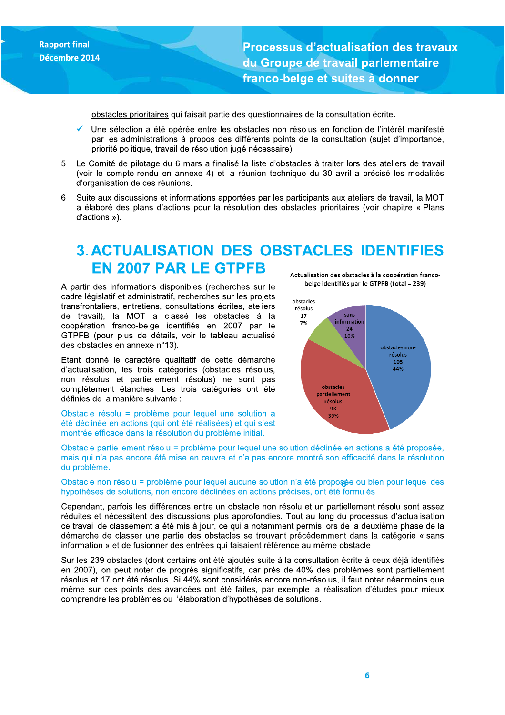Processus d'actualisation des travaux au Groupe de travail parlementaire tranco-beige et suites a donner

obstacles prioritaires qui faisait partie des questionnaires de la consultation écrite.

- Rapport final<br>Décembre 2014<br>Décembre 2014<br>Décembre 2014<br>Des selection a été opérée entre les obstacles non résoluts en fonction de <u>l'intérêt maniferent par les parties</u><br>par les administrations à propos des différents poin Une sélection a été opérée entre les obstacles non résolus en fonction de l'intérêt manifesté par les administrations à propos des différents points de la consultation (sujet d'importance, priorité politique, travail de résolution jugé nécessaire).
	- 5. Le Comité de pilotage du 6 mars a finalisé la liste d'obstacles à traiter lors des ateliers de travail (voir le compte-rendu en annexe 4) et la réunion technique du 30 avril a précisé les modalités d'organisation de ces réunions.
	- 6. Suite aux discussions et informations apportées par les participants aux ateliers de travail, la MOT a élaboré des plans d'actions pour la résolution des obstacles prioritaires (voir chapitre « Plans d'actions »).

# 3. ACTUALISATION DES OBSTACLES IDENTIFIES EN 2007 PAR LE GTPFB Actualisation des obstacles à la coopération franco-

A partir des informations disponibles (recherches sur le cadre législatif et administratif, recherches sur les projets transfrontaliers, entretiens, consultations écrites, ateliers de travail), la MOT a classé les obstacles à la coopération franco-belge identifiés en 2007 par le GTPFB (pour plus de détails, voir le tableau actualisé des obstacles en annexe n°13).

Etant donné le caractère qualitatif de cette démarche d'actualisation. les trois catégories (obstacles résolus. non résolus et partiellement résolus) ne sont pas complètement étanches. Les trois catégories ont été définies de la manière suivante :

Obstacle résolu = problème pour lequel une solution a été déclinée en actions (qui ont été réalisées) et qui s'est montrée efficace dans la résolution du problème initial.

belge identifiés par le GTPFB (total = 239)



Obstacle partiellement résolu = problème pour lequel une solution déclinée en actions a été proposée, mais qui n'a pas encore été mise en œuvre et n'a pas encore montré son efficacité dans la résolution du problème.

 $\mathbf{p}_{\mathbf{c}}$ Obstacle non résolu = problème pour lequel aucune solution n'a été proposée ou bien pour lequel des nypotneses de solutions, non encore declinees en actions precises, ont ete formules.

Cependant, parfois les différences entre un obstacle non résolu et un partiellement résolu sont assez réduites et nécessitent des discussions plus approfondies. Tout au long du processus d'actualisation ce travail de classement a été mis à jour, ce qui a notamment permis lors de la deuxième phase de la démarche de classer une partie des obstacles se trouvant précédemment dans la catégorie « sans information » et de fusionner des entrées qui faisaient référence au même obstacle.

Sur les 239 obstacles (dont certains ont été ajoutés suite à la consultation écrite à ceux déjà identifiés en 2007), on peut noter de progrès significatifs, car près de 40% des problèmes sont partiellement résolus et 17 ont été résolus. Si 44% sont considérés encore non-résolus, il faut noter néanmoins que même sur ces points des avancées ont été faites, par exemple la réalisation d'études pour mieux comprendre les problèmes ou l'élaboration d'hypothèses de solutions.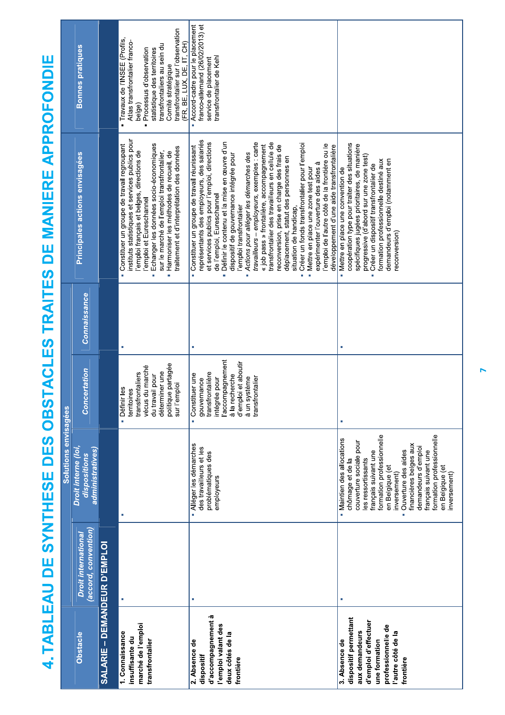4. TABLEAU DE SYNTHESE DES OBSTACLES TRAITES DE MANIERE APPROFONDIE

|                                                                                                                                                            |                                                    | Solutions envisagées                                                                                                                                                                                                                                                                                                                                          |                                                                                                                                                                          |              |                                                                                                                                                                                                                                                                                                                                                                                                                                                                                                                                                                                                                                                                                                                                                                                                                                                      |                                                                                                                                                                                                                                                          |
|------------------------------------------------------------------------------------------------------------------------------------------------------------|----------------------------------------------------|---------------------------------------------------------------------------------------------------------------------------------------------------------------------------------------------------------------------------------------------------------------------------------------------------------------------------------------------------------------|--------------------------------------------------------------------------------------------------------------------------------------------------------------------------|--------------|------------------------------------------------------------------------------------------------------------------------------------------------------------------------------------------------------------------------------------------------------------------------------------------------------------------------------------------------------------------------------------------------------------------------------------------------------------------------------------------------------------------------------------------------------------------------------------------------------------------------------------------------------------------------------------------------------------------------------------------------------------------------------------------------------------------------------------------------------|----------------------------------------------------------------------------------------------------------------------------------------------------------------------------------------------------------------------------------------------------------|
| <b>Obstacle</b>                                                                                                                                            | (accord, convention)<br><b>Droit international</b> | Droit interne (loi,<br>administratives)<br>dispositions                                                                                                                                                                                                                                                                                                       | <b>Concertation</b>                                                                                                                                                      | Connaissance | Principales actions envisagées                                                                                                                                                                                                                                                                                                                                                                                                                                                                                                                                                                                                                                                                                                                                                                                                                       | <b>Bonnes pratiques</b>                                                                                                                                                                                                                                  |
| SALARIE – DEMANDEUR D'EMPLOI                                                                                                                               |                                                    |                                                                                                                                                                                                                                                                                                                                                               |                                                                                                                                                                          |              |                                                                                                                                                                                                                                                                                                                                                                                                                                                                                                                                                                                                                                                                                                                                                                                                                                                      |                                                                                                                                                                                                                                                          |
| marché de l'emploi<br>1. Connaissance<br>insuffisante du<br>transfrontalier                                                                                |                                                    | J.                                                                                                                                                                                                                                                                                                                                                            | politique partagée<br>s du marché<br>déterminer une<br>transfrontaliers<br>du travail pour<br>sur l'emploi<br>ir les<br>territoires<br>Défini<br>vécus                   |              | instituts statistiques et services publics pour<br>Echanger les données socio-économiques<br>Constituer un groupe de travail regroupant<br>traitement et d'interprétation des données<br>sur le marché de l'emploi transfrontalier,<br>l'emploi français et belges, directions de<br>Harmoniser les méthodes de recueil, de<br>'emploi et Eureschannel<br>i.                                                                                                                                                                                                                                                                                                                                                                                                                                                                                         | transfrontalier sur l'observation<br>Travaux de l'INSEE (Profils,<br>Atlas transfrontalier franco-<br>(FR, BE, LUX, DE, IT, CH)<br>transfrontaliers au sein du<br>statistique des territoires<br>Processus d'observation<br>Comité stratégique<br>belge) |
| d'accompagnement à<br>l'emploi valant des<br>deux côtés de la<br>2. Absence de<br>dispositif<br>frontière                                                  | T,                                                 | - Alléger les démarches<br>des travailleurs et les<br>problématiques des<br>employeurs                                                                                                                                                                                                                                                                        | l'accompagnement<br>d'emploi et aboutir<br>transfrontalière<br>Constituer une<br>à la recherche<br>à un système<br>transfrontalier<br>intégrée pour<br>gouvernance<br>à. | H.           | représentants des employeurs, des salariés<br>Définir le contenu et la mise en œuvre d'un<br>transfrontalier des travailleurs en cellule de<br>et services publics pour l'emploi, directions<br>travailleurs - employeurs, exemples : carte<br>Créer un fonds transfrontalier pour l'emploi<br>l'emploi de l'autre côté de la frontière ou le<br>reconversion, prise en charge des frais de<br>« job pass » frontalière, accompagnement<br>développement d'une aide transfrontalière<br>- Constituer un groupe de travail réunissant<br>Actions pour alléger les démarches des<br>dispositif de gouvernance intégrée pour<br>déplacement, statut des personnes en<br>expérimenter l'ouverture des aides à<br>Mettre en place une zone test pour<br>de l'emploi, Eureschannel<br>l'emploi transfrontalier<br>situation de handicap,<br>ř.<br>à,<br>r. | Accord-cadre pour le placement<br>franco-allemand (26/02/2013) et<br>transfrontalier de Kehl<br>service de placement                                                                                                                                     |
| dispositif permettant<br>d'emploi d'effectuer<br>professionnelle de<br>aux demandeurs<br>l'autre côté de la<br>3. Absence de<br>une formation<br>frontière |                                                    | formation professionnelle<br>formation professionnelle<br>· Maintien des allocations<br>couverture sociale pour<br>financières belges aux<br>demandeurs d'emploi<br>Ouverture des aides<br>français suivant une<br>français suivant une<br>les ressortissants<br>chômage et de la<br>en Belgique (et<br>en Belgique (et<br>inversement)<br>inversement)<br>i. | п                                                                                                                                                                        | ٠            | coopération type pour traiter des situations<br>spécifiques jugées prioritaires, de manière<br>progressive (d'abord sur une zone test)<br>demandeurs d'emploi (notamment en<br>formation professionnelle destiné aux<br>Créer un dispositif transfrontalier de<br>Mettre en place une convention de<br>reconversion)<br>n,                                                                                                                                                                                                                                                                                                                                                                                                                                                                                                                           |                                                                                                                                                                                                                                                          |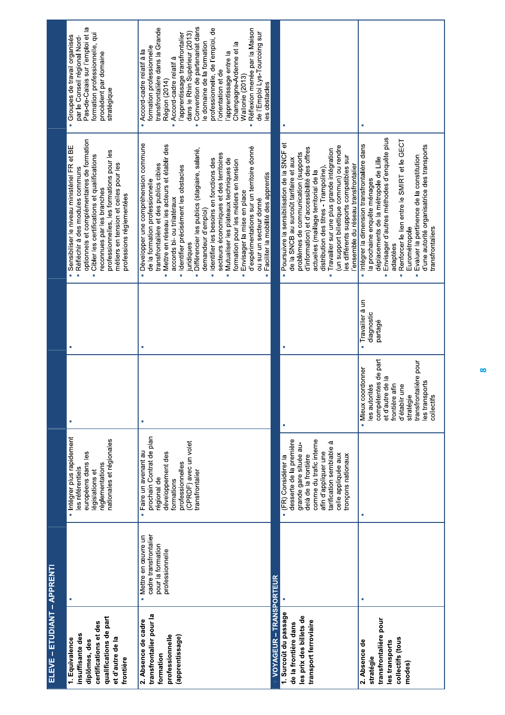| ELEVE - ETUDIANT - APPRENTI                                                                                                             |                                                                                       |                                                                                                                                                                                                                               |                                                                                                                                                                                               |                                               |                                                                                                                                                                                                                                                                                                                                                                                                                                                                                                                                                                                                                                                          |                                                                                                                                                                                                                                                                                                                                                                                                                                                                                                           |
|-----------------------------------------------------------------------------------------------------------------------------------------|---------------------------------------------------------------------------------------|-------------------------------------------------------------------------------------------------------------------------------------------------------------------------------------------------------------------------------|-----------------------------------------------------------------------------------------------------------------------------------------------------------------------------------------------|-----------------------------------------------|----------------------------------------------------------------------------------------------------------------------------------------------------------------------------------------------------------------------------------------------------------------------------------------------------------------------------------------------------------------------------------------------------------------------------------------------------------------------------------------------------------------------------------------------------------------------------------------------------------------------------------------------------------|-----------------------------------------------------------------------------------------------------------------------------------------------------------------------------------------------------------------------------------------------------------------------------------------------------------------------------------------------------------------------------------------------------------------------------------------------------------------------------------------------------------|
| qualifications de part<br>certifications et des<br>insuffisante des<br>et d'autre de la<br>1. Equivalence<br>diplômes, des<br>frontière |                                                                                       | Intégrer plus rapidement<br>nationales et régionales<br>européens dans les<br>réglementations<br>les référentiels<br>législations et                                                                                          |                                                                                                                                                                                               |                                               | optionnels et complémentaires de formation<br>· Sensibiliser le niveau ministériel FR et BE<br>professionnelles, les formations pour les<br>Cibler les certifications et qualifications<br>métiers en tension et celles pour les<br>Réfléchir à des modules communs<br>reconnues par les branches<br>professions réglementées<br>ii.                                                                                                                                                                                                                                                                                                                     | Pas-de-Calais sur l'emploi et la<br>formation professionnelle, qui<br>Groupes de travail organisés<br>par le Conseil régional Nord-<br>procèdent par domaine<br>stratégique                                                                                                                                                                                                                                                                                                                               |
| transfrontalier pour la<br>2. Absence de cadre<br>professionnelle<br>(apprentissage)<br>formation                                       | cadre transfrontalier<br>· Mettre en œuvre un<br>pour la formation<br>professionnelle | prochain Contrat de plan<br>(CPRDF) avec un volet<br>Faire un avenant au<br>développement des<br>professionnelles<br>transfrontalier<br>régional de<br>formations<br>ä                                                        |                                                                                                                                                                                               |                                               | · Développer une compréhension commune<br>· Mettre en réseau les acteurs et établir des<br>d'expérimentations sur un territoire donné<br>· Différencier les publics (stagiaire, salarié,<br>secteurs économiques et des territoires<br>Identifier les besoins en fonctions des<br>Mutualiser les plateaux techniques de<br>formation pour les métiers en tension<br>transfrontalière et des publics cibles<br>Identifier précisément les obstacles<br>Faciliter la mobilité des apprentis<br>de la formation professionnelle<br>Envisager la mise en place<br>accords bi- ou trilatéraux<br>ou sur un secteur donné<br>demandeur d'emploi)<br>iuridiques | Convention de partenariat dans<br>transfrontalière dans la Grande<br>professionnelle, de l'emploi, de<br>- Réflexion menée par la Maison<br>dans le Rhin Supérieur (2013)<br>de l'Emploi Lys-Tourcoing sur<br>l'apprentissage transfrontalier<br>le domaine de la formation<br>Champagne-Ardenne et la<br>formation professionnelle<br>Accord-cadre relatif à la<br>apprentissage entre la<br>Accord-cadre relatif à<br>orientation et de<br>Wallonie (2013)<br>Région (2014)<br>les obstacles<br>j.<br>ò |
| VOYAGEUR - TRANSPORTEUR                                                                                                                 |                                                                                       |                                                                                                                                                                                                                               |                                                                                                                                                                                               |                                               |                                                                                                                                                                                                                                                                                                                                                                                                                                                                                                                                                                                                                                                          |                                                                                                                                                                                                                                                                                                                                                                                                                                                                                                           |
| 1. Surcout du passage<br>les prix des billets de<br>transport ferroviaire<br>de la frontière dans                                       |                                                                                       | desserte de la première<br>comme du trafic interne<br>tarification semblable à<br>grande gare située au-<br>afin d'appliquer une<br>celle appliquée aux<br>tronçons nationaux<br>delà de la frontière<br>- (FR) Considérer la |                                                                                                                                                                                               |                                               | Poursuivre la sensibilisation de la SNCF et<br>(un support billettique commun) ou rendre<br>d'information) et d'accessibilité des offres<br>Travailler sur une plus grande intégration<br>problèmes de communication (supports<br>les différents supports compatibles sur<br>de la SNCB au surcoût tarifaire et aux<br>'ensemble du réseau transfrontalier<br>distribution des titres - Trampoline)<br>actuelles (maillage territorial de la<br>i.                                                                                                                                                                                                       |                                                                                                                                                                                                                                                                                                                                                                                                                                                                                                           |
| transfrontalière pour<br>collectifs (tous<br>2. Absence de<br>les transports<br>stratégie<br>modes)                                     |                                                                                       | I.                                                                                                                                                                                                                            | compétentes de part<br>transfrontalière pour<br>· Mieux coordonner<br>et d'autre de la<br>les transports<br>frontière afin<br>les autorités<br>d'établir une<br>stratégie<br>ဖ္ပ<br>collectit | Travailler à un<br>diagnostic<br>partagé<br>ä | Envisager d'autres méthodes d'enquête plus<br>Renforcer le lien entre le SMIRT et le GECT<br>· Intégrer la dimension transfrontalière dans<br>d'une autorité organisatrice des transports<br>Evaluer la pertinence de la constitution<br>déplacements de la métropole de Lille<br>la prochaine enquête ménages<br>transfrontaliers<br>Eurométropole<br>adaptées<br>n.<br>i.                                                                                                                                                                                                                                                                              |                                                                                                                                                                                                                                                                                                                                                                                                                                                                                                           |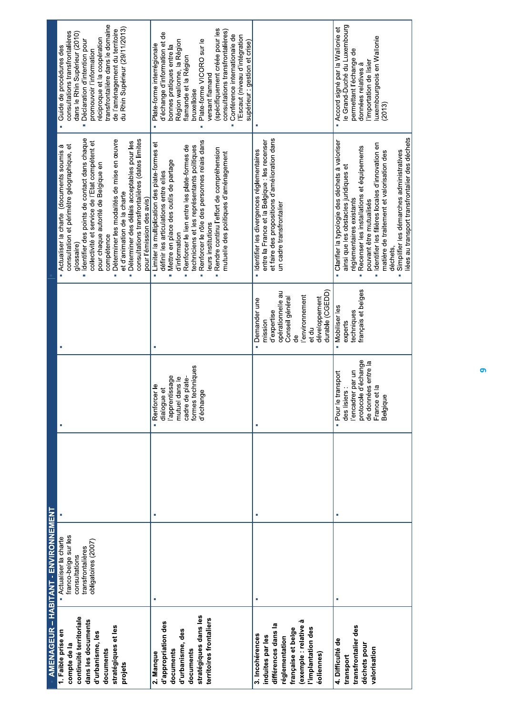|                                  | AMENAGEUR – HABITANT - ENVIRONNEMENT |                               |                                  |                                                                                          |                                                                   |
|----------------------------------|--------------------------------------|-------------------------------|----------------------------------|------------------------------------------------------------------------------------------|-------------------------------------------------------------------|
| 1. Faible prise en               | Actualiser la charte                 |                               |                                  | Actualiser la charte (documents soumis à                                                 | Guide de procédures des                                           |
| compte de la                     | franco-belge sur les                 |                               |                                  | consultation et périmètre géographique, et                                               | consultations transfrontalières                                   |
| continuité territoriale          | consultations                        |                               |                                  | glossaire)                                                                               | dans le Rhin Supérieur (2010)                                     |
| dans les documents               | transfrontalières                    |                               |                                  | · Identifier des points de contact dans chaque                                           | Déclaration d'intention pour                                      |
| d'urbanisme, les                 | obligatoires (2007)                  |                               |                                  | collectivité et service de l'Etat compétent et                                           | promouvoir l'information                                          |
| documents                        |                                      |                               |                                  | pour chaque autorité de Belgique en<br>compétence                                        | ransfrontalière dans le domaine<br>réciproque et la coopération   |
| stratégiques et les              |                                      |                               |                                  | Déterminer les modalités de mise en œuvre<br>ř.                                          | de l'aménagement du territoire                                    |
| projets                          |                                      |                               |                                  | et d'animation de la charte                                                              | du Rhin Supérieur (29/11/2013)                                    |
|                                  |                                      |                               |                                  | Déterminer des délais acceptables pour les                                               |                                                                   |
|                                  |                                      |                               |                                  | consultations transfrontalières (dates limites                                           |                                                                   |
|                                  |                                      |                               |                                  | pour l'émission des avis)                                                                |                                                                   |
| 2. Manque                        |                                      | - Renforcer le<br>dialogue et |                                  | · Limiter la multiplication des plate-formes et<br>définir les articulations entre elles | d'échange d'information et de<br>Plate-forme interrégionale<br>i. |
| d'appropriation des<br>documents |                                      | apprentissage                 |                                  | Mettre en place des outils de partage                                                    | bonnes pratiques entre la                                         |
|                                  |                                      | mutuel dans le                |                                  | d'information                                                                            | Région wallonne, la Région                                        |
| d'urbanisme, des                 |                                      | cadre de plate-               |                                  | Renforcer le lien entre les plate-formes de<br>i.                                        | flamande et la Région                                             |
| documents                        |                                      | formes techniques             |                                  | techniciens et les représentants politiques                                              | bruxelloise                                                       |
| stratégiques dans les            |                                      | d'échange                     |                                  | Renforcer le rôle des personnes relais dans                                              | Plate-forme VICORO sur le                                         |
| territoires frontaliers          |                                      |                               |                                  | leurs institutions                                                                       | versant flamand                                                   |
|                                  |                                      |                               |                                  |                                                                                          |                                                                   |
|                                  |                                      |                               |                                  | Rendre continu l'effort de compréhension                                                 | (spécifiquement créée pour les                                    |
|                                  |                                      |                               |                                  | mutuelle des politiques d'aménagement                                                    | consultations transfrontalières)                                  |
|                                  |                                      |                               |                                  |                                                                                          | Conférence internationale de                                      |
|                                  |                                      |                               |                                  |                                                                                          | 'Escaut (niveau d'intégration<br>supérieur : gestion et crise)    |
| 3. Incohérences                  | ×                                    |                               | · Demander une                   | · Identifier les divergences réglementaires                                              |                                                                   |
| induites par les                 |                                      |                               | mission                          | entre la France et la Belgique : les recenser                                            |                                                                   |
| différences dans la              |                                      |                               | d'expertise                      | et faire des propositions d'amélioration dans                                            |                                                                   |
| réglementation                   |                                      |                               | opérationnelle au                | un cadre transfrontalier                                                                 |                                                                   |
|                                  |                                      |                               | Conseil général                  |                                                                                          |                                                                   |
| française et belge               |                                      |                               | දු                               |                                                                                          |                                                                   |
| exemple : relative à             |                                      |                               | l'environnement                  |                                                                                          |                                                                   |
| l'implantation des               |                                      |                               | et du                            |                                                                                          |                                                                   |
| éoliennes)                       |                                      |                               | durable (CGEDD)<br>développement |                                                                                          |                                                                   |
| 4. Difficulté de                 | r                                    | · Pour le transport           | Mobiliser les                    | Clarifier la typologie des déchets à valoriser                                           | Accord signé par la Wallonie et                                   |
| transport                        |                                      | des lisiers                   | experts                          | ainsi que les obstacles juridiques et                                                    | e Grand-Duché du Luxembourg                                       |
| transfrontalier des              |                                      | l'encadrer par un             | techniques                       | réglementaires existants                                                                 | permettant l'échange de                                           |
| déchets pour                     |                                      | d'échange<br>protocole        | français et belges               | Recenser les installations et équipements                                                | données relatives à                                               |
| valorisation                     |                                      | de données entre la           |                                  | pouvant être mutualisés                                                                  | 'importation de lisier                                            |
|                                  |                                      | $\frac{a}{b}$<br>France et    |                                  | · Identifier les filières locales d'innovation en                                        | uxembourgeois en Wallonie                                         |
|                                  |                                      | Belgique                      |                                  | matière de traitement et valorisation des<br>déchets,                                    | (2013)                                                            |
|                                  |                                      |                               |                                  | Simplifier les démarches administratives                                                 |                                                                   |
|                                  |                                      |                               |                                  | liées au transport transfrontalier des déchets                                           |                                                                   |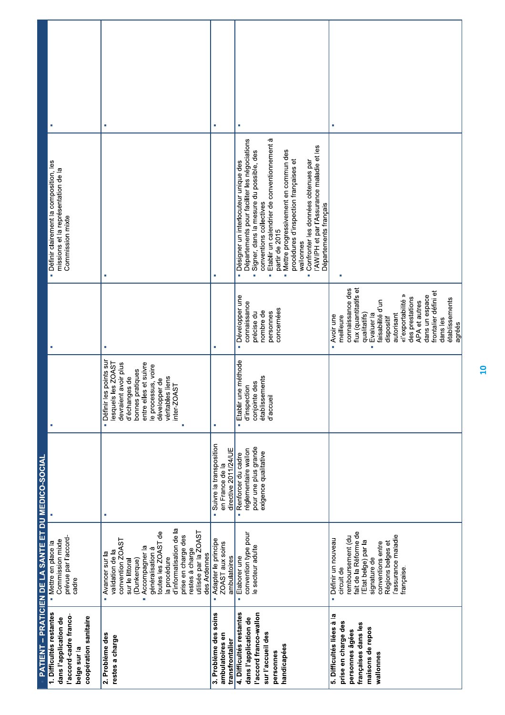|                                                                                                                              | <b>PATIENT – PRATICIEN DE LA SANTE ET DU MEDICO-SOCIAL</b>                                                                                                                                                                                                                                      |                                                                                                  |                                                                                                                                                                                                                      |                                                                                                                                                                                                                                                                                                          |                                                                                                                                                                                                                                                                                                                                                                                                                                                         |    |
|------------------------------------------------------------------------------------------------------------------------------|-------------------------------------------------------------------------------------------------------------------------------------------------------------------------------------------------------------------------------------------------------------------------------------------------|--------------------------------------------------------------------------------------------------|----------------------------------------------------------------------------------------------------------------------------------------------------------------------------------------------------------------------|----------------------------------------------------------------------------------------------------------------------------------------------------------------------------------------------------------------------------------------------------------------------------------------------------------|---------------------------------------------------------------------------------------------------------------------------------------------------------------------------------------------------------------------------------------------------------------------------------------------------------------------------------------------------------------------------------------------------------------------------------------------------------|----|
| 1. Difficultés restantes<br>accord-cadre franco-<br>coopération sanitaire<br>dans l'application de<br>belge sur la           | prévue par l'accord-<br>Commission mixte<br>- Mettre en place la<br>cadre                                                                                                                                                                                                                       |                                                                                                  |                                                                                                                                                                                                                      |                                                                                                                                                                                                                                                                                                          | · Définir clairement la composition, les<br>missions et la représentation de la<br>Commission mixte                                                                                                                                                                                                                                                                                                                                                     |    |
| 2. Problème des<br>restes a charge                                                                                           | d'informatisation de la<br>utilisée par la ZOAST<br>toutes les ZOAST de<br>prise en charge des<br>convention ZOAST<br>Accompagner la<br>généralisation à<br>restes à charge<br>validation de la<br>Avancer sur la<br>des Ardennes<br>la procédure<br>(Dunkerque)<br>sur le littoral<br>j.<br>i. | T,                                                                                               | · Définir les points sur<br>devraient avoir plus<br>Is les ZOAST<br>entre elles et suivre<br>le processus, voire<br>bonnes pratiques<br>d'échanges de<br>véritables liens<br>développer de<br>inter-ZOAST<br>lesquel | à.                                                                                                                                                                                                                                                                                                       | T,                                                                                                                                                                                                                                                                                                                                                                                                                                                      | à. |
| 3. Problème des soins<br>ambulatoires en<br>transfrontalier                                                                  | Adapter le principe<br>ZOAST aux soins<br>ambulatoires<br>ú.                                                                                                                                                                                                                                    | Suivre la transposition<br>directive 2011/24/UE<br>en France de la<br>ä,                         |                                                                                                                                                                                                                      | ×                                                                                                                                                                                                                                                                                                        | T.                                                                                                                                                                                                                                                                                                                                                                                                                                                      | a, |
| 4. Difficultés restantes<br>l'accord franco-wallon<br>dans l'application de<br>sur l'accueil des<br>handicapées<br>personnes | convention type pour<br>le secteur adulte<br>Elaborer une<br>×                                                                                                                                                                                                                                  | pour une plus grande<br>réglementaire wallon<br>exigence qualitative<br>Renforcer du cadre<br>Ì, | une méthode<br>établissements<br>conjointe des<br>d'inspection<br>d'accueil<br>Etablir<br>ä,                                                                                                                         | · Développer une<br>connaissance<br>concernées<br>nombre de<br>précise du<br>personnes                                                                                                                                                                                                                   | Etablir un calendrier de conventionnement à<br>Départements pour faciliter les négociations<br>l'AWIPH et par l'Assurance maladie et les<br>Mettre progressivement en commun des<br>Signer, dans la mesure du possible, des<br>procédures d'inspection françaises et<br>Confronter les données obtenues par<br>Désigner un interlocuteur unique des<br>conventions collectives<br>Départements français<br>partir de 2015<br>wallonnes<br>à,<br>×,<br>۳ | ×, |
| 5. Difficultés liées à la<br>prise en charge des<br>françaises dans les<br>maisons de repos<br>personnes âgées<br>wallonnes  | fait de la Réforme de<br>assurance maladie<br>remboursement (du<br>Définir un nouveau<br>l'Etat belge) par la<br>conventions entre<br>Régions belges et<br>signature de<br>française.<br>circuit de<br>$\blacksquare$                                                                           |                                                                                                  |                                                                                                                                                                                                                      | flux (quantitatifs et<br>connaissance des<br>frontalier défini et<br>«l'exportabilité »<br>dans un espace<br>des prestations<br>établissements<br>APA et autres<br>faisabilité d'un<br>qualitatifs)<br>Evaluer la<br>autorisant<br>Avoir une<br>meilleure<br>dispositif<br>dans les<br>agréés<br>ä<br>×, | T.                                                                                                                                                                                                                                                                                                                                                                                                                                                      |    |